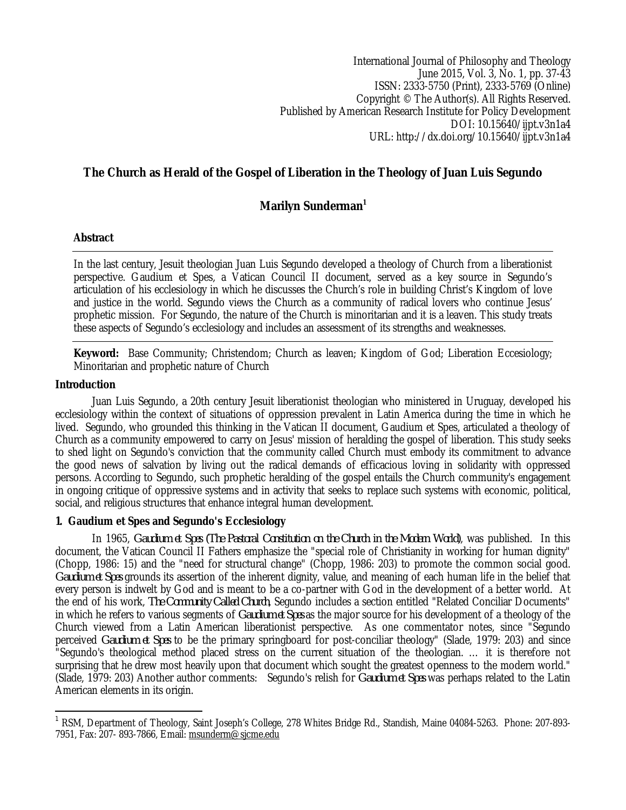International Journal of Philosophy and Theology June 2015, Vol. 3, No. 1, pp. 37-43 ISSN: 2333-5750 (Print), 2333-5769 (Online) Copyright © The Author(s). All Rights Reserved. Published by American Research Institute for Policy Development DOI: 10.15640/ijpt.v3n1a4 URL: http://dx.doi.org/10.15640/ijpt.v3n1a4

# **The Church as Herald of the Gospel of Liberation in the Theology of Juan Luis Segundo**

## **Marilyn Sunderman<sup>1</sup>**

### **Abstract**

In the last century, Jesuit theologian Juan Luis Segundo developed a theology of Church from a liberationist perspective. Gaudium et Spes, a Vatican Council II document, served as a key source in Segundo's articulation of his ecclesiology in which he discusses the Church's role in building Christ's Kingdom of love and justice in the world. Segundo views the Church as a community of radical lovers who continue Jesus' prophetic mission. For Segundo, the nature of the Church is minoritarian and it is a leaven. This study treats these aspects of Segundo's ecclesiology and includes an assessment of its strengths and weaknesses.

**Keyword:** Base Community; Christendom; Church as leaven; Kingdom of God; Liberation Eccesiology; Minoritarian and prophetic nature of Church

### **Introduction**

Juan Luis Segundo, a 20th century Jesuit liberationist theologian who ministered in Uruguay, developed his ecclesiology within the context of situations of oppression prevalent in Latin America during the time in which he lived. Segundo, who grounded this thinking in the Vatican II document, Gaudium et Spes, articulated a theology of Church as a community empowered to carry on Jesus' mission of heralding the gospel of liberation. This study seeks to shed light on Segundo's conviction that the community called Church must embody its commitment to advance the good news of salvation by living out the radical demands of efficacious loving in solidarity with oppressed persons. According to Segundo, such prophetic heralding of the gospel entails the Church community's engagement in ongoing critique of oppressive systems and in activity that seeks to replace such systems with economic, political, social, and religious structures that enhance integral human development.

### **1. Gaudium et Spes and Segundo's Ecclesiology**

In 1965, *Gaudium et Spes (The Pastoral Constitution on the Church in the Modern World)*, was published. In this document, the Vatican Council II Fathers emphasize the "special role of Christianity in working for human dignity" (Chopp, 1986: 15) and the "need for structural change" (Chopp, 1986: 203) to promote the common social good. *Gaudium et Spes* grounds its assertion of the inherent dignity, value, and meaning of each human life in the belief that every person is indwelt by God and is meant to be a co-partner with God in the development of a better world. At the end of his work, *The Community Called Church*, Segundo includes a section entitled "Related Conciliar Documents" in which he refers to various segments of *Gaudium et Spes* as the major source for his development of a theology of the Church viewed from a Latin American liberationist perspective. As one commentator notes, since "Segundo perceived *Gaudium et Spes* to be the primary springboard for post-conciliar theology" (Slade, 1979: 203) and since "Segundo's theological method placed stress on the current situation of the theologian. … it is therefore not surprising that he drew most heavily upon that document which sought the greatest openness to the modern world." (Slade, 1979: 203) Another author comments: Segundo's relish for *Gaudium et Spes* was perhaps related to the Latin American elements in its origin.

 $\overline{a}$ 1 RSM, Department of Theology, Saint Joseph's College, 278 Whites Bridge Rd., Standish, Maine 04084-5263. Phone: 207-893- 7951, Fax: 207- 893-7866, Email: msunderm@sjcme.edu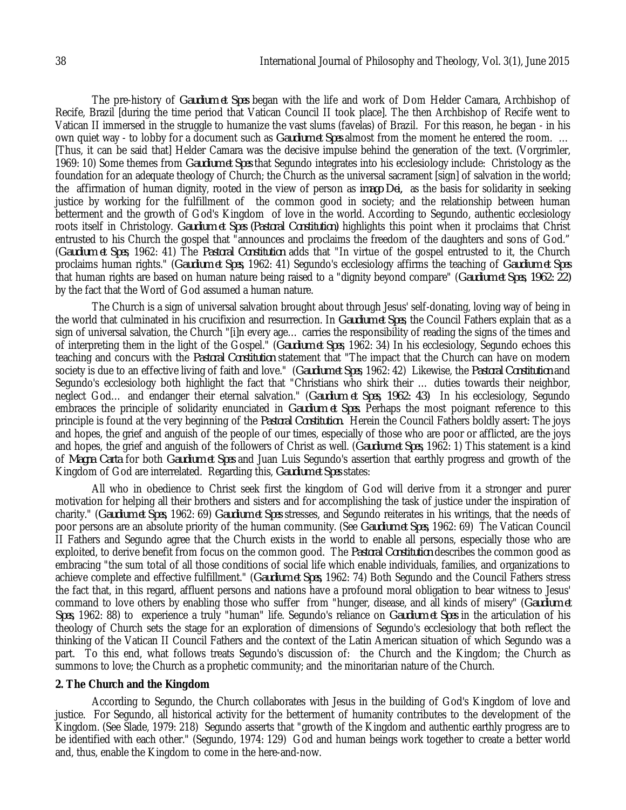The pre-history of *Gaudium et Spes* began with the life and work of Dom Helder Camara, Archbishop of Recife, Brazil [during the time period that Vatican Council II took place]. The then Archbishop of Recife went to Vatican II immersed in the struggle to humanize the vast slums (favelas) of Brazil. For this reason, he began - in his own quiet way - to lobby for a document such as *Gaudium et Spes* almost from the moment he entered the room. … [Thus, it can be said that] Helder Camara was the decisive impulse behind the generation of the text. (Vorgrimler, 1969: 10) Some themes from *Gaudium et Spes* that Segundo integrates into his ecclesiology include: Christology as the foundation for an adequate theology of Church; the Church as the universal sacrament [sign] of salvation in the world; the affirmation of human dignity, rooted in the view of person as *imago Dei,* as the basis for solidarity in seeking justice by working for the fulfillment of the common good in society; and the relationship between human betterment and the growth of God's Kingdom of love in the world. According to Segundo, authentic ecclesiology roots itself in Christology. *Gaudium et Spes (Pastoral Constitution)* highlights this point when it proclaims that Christ entrusted to his Church the gospel that "announces and proclaims the freedom of the daughters and sons of God." (*Gaudium et Spes*, 1962: 41) The *Pastoral Constitution* adds that "In virtue of the gospel entrusted to it, the Church proclaims human rights." (*Gaudium et Spes,* 1962: 41) Segundo's ecclesiology affirms the teaching of *Gaudium et Spes* that human rights are based on human nature being raised to a "dignity beyond compare" (*Gaudium et Spes, 1962: 22)* by the fact that the Word of God assumed a human nature.

The Church is a sign of universal salvation brought about through Jesus' self-donating, loving way of being in the world that culminated in his crucifixion and resurrection. In *Gaudium et Spes*, the Council Fathers explain that as a sign of universal salvation, the Church "[i]n every age… carries the responsibility of reading the signs of the times and of interpreting them in the light of the Gospel." (*Gaudium et Spes*, 1962: 34) In his ecclesiology, Segundo echoes this teaching and concurs with the *Pastoral Constitution* statement that "The impact that the Church can have on modern society is due to an effective living of faith and love." (*Gaudium et Spes*, 1962: 42) Likewise, the *Pastoral Constitution* and Segundo's ecclesiology both highlight the fact that "Christians who shirk their … duties towards their neighbor, neglect God… and endanger their eternal salvation." (*Gaudium et Spes, 1962: 43)* In his ecclesiology, Segundo embraces the principle of solidarity enunciated in *Gaudium et Spes.* Perhaps the most poignant reference to this principle is found at the very beginning of the *Pastoral Constitution.* Herein the Council Fathers boldly assert: The joys and hopes, the grief and anguish of the people of our times, especially of those who are poor or afflicted, are the joys and hopes, the grief and anguish of the followers of Christ as well. (*Gaudium et Spes,* 1962: 1) This statement is a kind of *Magna Carta* for both *Gaudium et Spes* and Juan Luis Segundo's assertion that earthly progress and growth of the Kingdom of God are interrelated. Regarding this, *Gaudium et Spes* states:

All who in obedience to Christ seek first the kingdom of God will derive from it a stronger and purer motivation for helping all their brothers and sisters and for accomplishing the task of justice under the inspiration of charity." (*Gaudium et Spes,* 1962: 69) *Gaudium et Spes* stresses, and Segundo reiterates in his writings, that the needs of poor persons are an absolute priority of the human community. (See *Gaudium et Spes,* 1962: 69) The Vatican Council II Fathers and Segundo agree that the Church exists in the world to enable all persons, especially those who are exploited, to derive benefit from focus on the common good. The *Pastoral Constitution* describes the common good as embracing "the sum total of all those conditions of social life which enable individuals, families, and organizations to achieve complete and effective fulfillment." (*Gaudium et Spes,* 1962: 74) Both Segundo and the Council Fathers stress the fact that, in this regard, affluent persons and nations have a profound moral obligation to bear witness to Jesus' command to love others by enabling those who suffer from "hunger, disease, and all kinds of misery" (*Gaudium et Spes,* 1962: 88) to experience a truly "human" life. Segundo's reliance on *Gaudium et Spes* in the articulation of his theology of Church sets the stage for an exploration of dimensions of Segundo's ecclesiology that both reflect the thinking of the Vatican II Council Fathers and the context of the Latin American situation of which Segundo was a part. To this end, what follows treats Segundo's discussion of: the Church and the Kingdom; the Church as summons to love; the Church as a prophetic community; and the minoritarian nature of the Church.

#### **2. The Church and the Kingdom**

According to Segundo, the Church collaborates with Jesus in the building of God's Kingdom of love and justice. For Segundo, all historical activity for the betterment of humanity contributes to the development of the Kingdom. (See Slade, 1979: 218) Segundo asserts that "growth of the Kingdom and authentic earthly progress are to be identified with each other." (Segundo, 1974: 129) God and human beings work together to create a better world and, thus, enable the Kingdom to come in the here-and-now.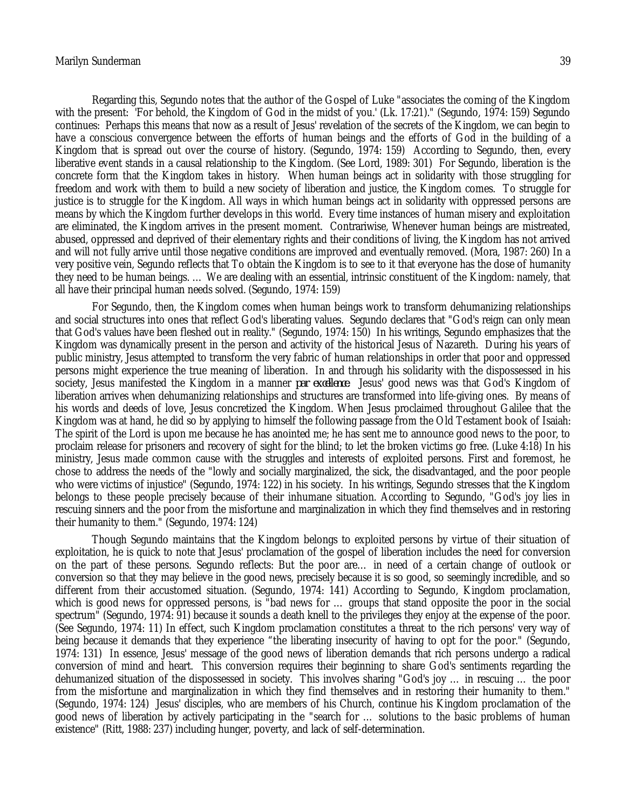#### Marilyn Sunderman 39

Regarding this, Segundo notes that the author of the Gospel of Luke "associates the coming of the Kingdom with the present: 'For behold, the Kingdom of God in the midst of you.' (Lk. 17:21)." (Segundo, 1974: 159) Segundo continues: Perhaps this means that now as a result of Jesus' revelation of the secrets of the Kingdom, we can begin to have a conscious convergence between the efforts of human beings and the efforts of God in the building of a Kingdom that is spread out over the course of history. (Segundo, 1974: 159) According to Segundo, then, every liberative event stands in a causal relationship to the Kingdom. (See Lord, 1989: 301) For Segundo, liberation is the concrete form that the Kingdom takes in history. When human beings act in solidarity with those struggling for freedom and work with them to build a new society of liberation and justice, the Kingdom comes. To struggle for justice is to struggle for the Kingdom. All ways in which human beings act in solidarity with oppressed persons are means by which the Kingdom further develops in this world. Every time instances of human misery and exploitation are eliminated, the Kingdom arrives in the present moment. Contrariwise, Whenever human beings are mistreated, abused, oppressed and deprived of their elementary rights and their conditions of living, the Kingdom has not arrived and will not fully arrive until those negative conditions are improved and eventually removed. (Mora, 1987: 260) In a very positive vein, Segundo reflects that To obtain the Kingdom is to see to it that everyone has the dose of humanity they need to be human beings. … We are dealing with an essential, intrinsic constituent of the Kingdom: namely, that all have their principal human needs solved. (Segundo, 1974: 159)

For Segundo, then, the Kingdom comes when human beings work to transform dehumanizing relationships and social structures into ones that reflect God's liberating values. Segundo declares that "God's reign can only mean that God's values have been fleshed out in reality." (Segundo, 1974: 150) In his writings, Segundo emphasizes that the Kingdom was dynamically present in the person and activity of the historical Jesus of Nazareth. During his years of public ministry, Jesus attempted to transform the very fabric of human relationships in order that poor and oppressed persons might experience the true meaning of liberation. In and through his solidarity with the dispossessed in his society, Jesus manifested the Kingdom in a manner *par excellence*. Jesus' good news was that God's Kingdom of liberation arrives when dehumanizing relationships and structures are transformed into life-giving ones. By means of his words and deeds of love, Jesus concretized the Kingdom. When Jesus proclaimed throughout Galilee that the Kingdom was at hand, he did so by applying to himself the following passage from the Old Testament book of Isaiah: The spirit of the Lord is upon me because he has anointed me; he has sent me to announce good news to the poor, to proclaim release for prisoners and recovery of sight for the blind; to let the broken victims go free. (Luke 4:18) In his ministry, Jesus made common cause with the struggles and interests of exploited persons. First and foremost, he chose to address the needs of the "lowly and socially marginalized, the sick, the disadvantaged, and the poor people who were victims of injustice" (Segundo, 1974: 122) in his society. In his writings, Segundo stresses that the Kingdom belongs to these people precisely because of their inhumane situation. According to Segundo, "God's joy lies in rescuing sinners and the poor from the misfortune and marginalization in which they find themselves and in restoring their humanity to them." (Segundo, 1974: 124)

Though Segundo maintains that the Kingdom belongs to exploited persons by virtue of their situation of exploitation, he is quick to note that Jesus' proclamation of the gospel of liberation includes the need for conversion on the part of these persons. Segundo reflects: But the poor are… in need of a certain change of outlook or conversion so that they may believe in the good news, precisely because it is so good, so seemingly incredible, and so different from their accustomed situation. (Segundo, 1974: 141) According to Segundo, Kingdom proclamation, which is good news for oppressed persons, is "bad news for … groups that stand opposite the poor in the social spectrum" (Segundo, 1974: 91) because it sounds a death knell to the privileges they enjoy at the expense of the poor. (See Segundo, 1974: 11) In effect, such Kingdom proclamation constitutes a threat to the rich persons' very way of being because it demands that they experience "the liberating insecurity of having to opt for the poor." (Segundo, 1974: 131) In essence, Jesus' message of the good news of liberation demands that rich persons undergo a radical conversion of mind and heart. This conversion requires their beginning to share God's sentiments regarding the dehumanized situation of the dispossessed in society. This involves sharing "God's joy … in rescuing … the poor from the misfortune and marginalization in which they find themselves and in restoring their humanity to them." (Segundo, 1974: 124) Jesus' disciples, who are members of his Church, continue his Kingdom proclamation of the good news of liberation by actively participating in the "search for … solutions to the basic problems of human existence" (Ritt, 1988: 237) including hunger, poverty, and lack of self-determination.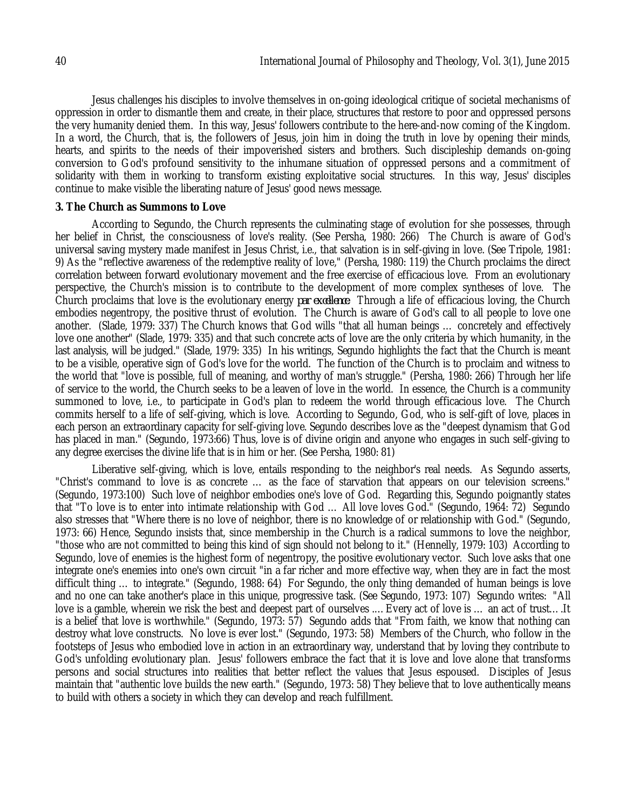Jesus challenges his disciples to involve themselves in on-going ideological critique of societal mechanisms of oppression in order to dismantle them and create, in their place, structures that restore to poor and oppressed persons the very humanity denied them. In this way, Jesus' followers contribute to the here-and-now coming of the Kingdom. In a word, the Church, that is, the followers of Jesus, join him in doing the truth in love by opening their minds, hearts, and spirits to the needs of their impoverished sisters and brothers. Such discipleship demands on-going conversion to God's profound sensitivity to the inhumane situation of oppressed persons and a commitment of solidarity with them in working to transform existing exploitative social structures. In this way, Jesus' disciples continue to make visible the liberating nature of Jesus' good news message.

#### **3. The Church as Summons to Love**

According to Segundo, the Church represents the culminating stage of evolution for she possesses, through her belief in Christ, the consciousness of love's reality. (See Persha, 1980: 266) The Church is aware of God's universal saving mystery made manifest in Jesus Christ, i.e., that salvation is in self-giving in love. (See Tripole, 1981: 9) As the "reflective awareness of the redemptive reality of love," (Persha, 1980: 119) the Church proclaims the direct correlation between forward evolutionary movement and the free exercise of efficacious love. From an evolutionary perspective, the Church's mission is to contribute to the development of more complex syntheses of love. The Church proclaims that love is the evolutionary energy *par excellence*. Through a life of efficacious loving, the Church embodies negentropy, the positive thrust of evolution. The Church is aware of God's call to all people to love one another. (Slade, 1979: 337) The Church knows that God wills "that all human beings … concretely and effectively love one another" (Slade, 1979: 335) and that such concrete acts of love are the only criteria by which humanity, in the last analysis, will be judged." (Slade, 1979: 335) In his writings, Segundo highlights the fact that the Church is meant to be a visible, operative sign of God's love for the world. The function of the Church is to proclaim and witness to the world that "love is possible, full of meaning, and worthy of man's struggle." (Persha, 1980: 266) Through her life of service to the world, the Church seeks to be a leaven of love in the world. In essence, the Church is a community summoned to love, i.e., to participate in God's plan to redeem the world through efficacious love. The Church commits herself to a life of self-giving, which is love. According to Segundo, God, who is self-gift of love, places in each person an extraordinary capacity for self-giving love. Segundo describes love as the "deepest dynamism that God has placed in man." (Segundo, 1973:66) Thus, love is of divine origin and anyone who engages in such self-giving to any degree exercises the divine life that is in him or her. (See Persha, 1980: 81)

Liberative self-giving, which is love, entails responding to the neighbor's real needs. As Segundo asserts, "Christ's command to love is as concrete … as the face of starvation that appears on our television screens." (Segundo, 1973:100) Such love of neighbor embodies one's love of God. Regarding this, Segundo poignantly states that "To love is to enter into intimate relationship with God … All love loves God." (Segundo, 1964: 72) Segundo also stresses that "Where there is no love of neighbor, there is no knowledge of or relationship with God." (Segundo, 1973: 66) Hence, Segundo insists that, since membership in the Church is a radical summons to love the neighbor, "those who are not committed to being this kind of sign should not belong to it." (Hennelly, 1979: 103) According to Segundo, love of enemies is the highest form of negentropy, the positive evolutionary vector. Such love asks that one integrate one's enemies into one's own circuit "in a far richer and more effective way, when they are in fact the most difficult thing … to integrate." (Segundo, 1988: 64) For Segundo, the only thing demanded of human beings is love and no one can take another's place in this unique, progressive task. (See Segundo, 1973: 107) Segundo writes: "All love is a gamble, wherein we risk the best and deepest part of ourselves .…Every act of love is … an act of trust….It is a belief that love is worthwhile." (Segundo, 1973: 57) Segundo adds that "From faith, we know that nothing can destroy what love constructs. No love is ever lost." (Segundo, 1973: 58) Members of the Church, who follow in the footsteps of Jesus who embodied love in action in an extraordinary way, understand that by loving they contribute to God's unfolding evolutionary plan. Jesus' followers embrace the fact that it is love and love alone that transforms persons and social structures into realities that better reflect the values that Jesus espoused. Disciples of Jesus maintain that "authentic love builds the new earth." (Segundo, 1973: 58) They believe that to love authentically means to build with others a society in which they can develop and reach fulfillment.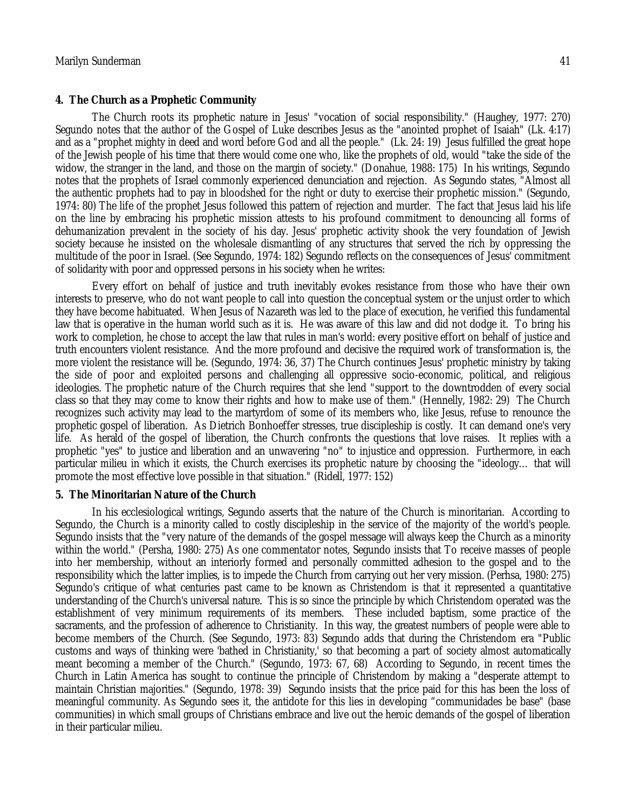#### **4. The Church as a Prophetic Community**

The Church roots its prophetic nature in Jesus' "vocation of social responsibility." (Haughey, 1977: 270) Segundo notes that the author of the Gospel of Luke describes Jesus as the "anointed prophet of Isaiah" (Lk. 4:17) and as a "prophet mighty in deed and word before God and all the people." (Lk. 24: 19) Jesus fulfilled the great hope of the Jewish people of his time that there would come one who, like the prophets of old, would "take the side of the widow, the stranger in the land, and those on the margin of society." (Donahue, 1988: 175) In his writings, Segundo notes that the prophets of Israel commonly experienced denunciation and rejection. As Segundo states, "Almost all the authentic prophets had to pay in bloodshed for the right or duty to exercise their prophetic mission." (Segundo, 1974: 80) The life of the prophet Jesus followed this pattern of rejection and murder. The fact that Jesus laid his life on the line by embracing his prophetic mission attests to his profound commitment to denouncing all forms of dehumanization prevalent in the society of his day. Jesus' prophetic activity shook the very foundation of Jewish society because he insisted on the wholesale dismantling of any structures that served the rich by oppressing the multitude of the poor in Israel. (See Segundo, 1974: 182) Segundo reflects on the consequences of Jesus' commitment of solidarity with poor and oppressed persons in his society when he writes:

Every effort on behalf of justice and truth inevitably evokes resistance from those who have their own interests to preserve, who do not want people to call into question the conceptual system or the unjust order to which they have become habituated. When Jesus of Nazareth was led to the place of execution, he verified this fundamental law that is operative in the human world such as it is. He was aware of this law and did not dodge it. To bring his work to completion, he chose to accept the law that rules in man's world: every positive effort on behalf of justice and truth encounters violent resistance. And the more profound and decisive the required work of transformation is, the more violent the resistance will be. (Segundo, 1974: 36, 37) The Church continues Jesus' prophetic ministry by taking the side of poor and exploited persons and challenging all oppressive socio-economic, political, and religious ideologies. The prophetic nature of the Church requires that she lend "support to the downtrodden of every social class so that they may come to know their rights and how to make use of them." (Hennelly, 1982: 29) The Church recognizes such activity may lead to the martyrdom of some of its members who, like Jesus, refuse to renounce the prophetic gospel of liberation. As Dietrich Bonhoeffer stresses, true discipleship is costly. It can demand one's very life. As herald of the gospel of liberation, the Church confronts the questions that love raises. It replies with a prophetic "yes" to justice and liberation and an unwavering "no" to injustice and oppression. Furthermore, in each particular milieu in which it exists, the Church exercises its prophetic nature by choosing the "ideology… that will promote the most effective love possible in that situation." (Ridell, 1977: 152)

#### **5. The Minoritarian Nature of the Church**

In his ecclesiological writings, Segundo asserts that the nature of the Church is minoritarian. According to Segundo, the Church is a minority called to costly discipleship in the service of the majority of the world's people. Segundo insists that the "very nature of the demands of the gospel message will always keep the Church as a minority within the world." (Persha, 1980: 275) As one commentator notes, Segundo insists that To receive masses of people into her membership, without an interiorly formed and personally committed adhesion to the gospel and to the responsibility which the latter implies, is to impede the Church from carrying out her very mission. (Perhsa, 1980: 275) Segundo's critique of what centuries past came to be known as Christendom is that it represented a quantitative understanding of the Church's universal nature. This is so since the principle by which Christendom operated was the establishment of very minimum requirements of its members. These included baptism, some practice of the sacraments, and the profession of adherence to Christianity. In this way, the greatest numbers of people were able to become members of the Church. (See Segundo, 1973: 83) Segundo adds that during the Christendom era "Public customs and ways of thinking were 'bathed in Christianity,' so that becoming a part of society almost automatically meant becoming a member of the Church." (Segundo, 1973: 67, 68) According to Segundo, in recent times the Church in Latin America has sought to continue the principle of Christendom by making a "desperate attempt to maintain Christian majorities." (Segundo, 1978: 39) Segundo insists that the price paid for this has been the loss of meaningful community. As Segundo sees it, the antidote for this lies in developing "communidades be base" (base communities) in which small groups of Christians embrace and live out the heroic demands of the gospel of liberation in their particular milieu.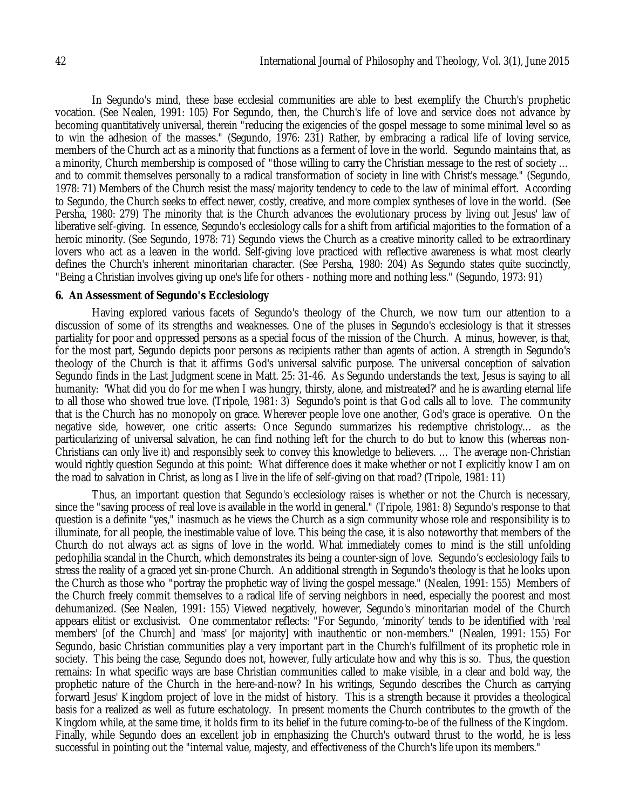In Segundo's mind, these base ecclesial communities are able to best exemplify the Church's prophetic vocation. (See Nealen, 1991: 105) For Segundo, then, the Church's life of love and service does not advance by becoming quantitatively universal, therein "reducing the exigencies of the gospel message to some minimal level so as to win the adhesion of the masses." (Segundo, 1976: 231) Rather, by embracing a radical life of loving service, members of the Church act as a minority that functions as a ferment of love in the world. Segundo maintains that, as a minority, Church membership is composed of "those willing to carry the Christian message to the rest of society … and to commit themselves personally to a radical transformation of society in line with Christ's message." (Segundo, 1978: 71) Members of the Church resist the mass/majority tendency to cede to the law of minimal effort. According to Segundo, the Church seeks to effect newer, costly, creative, and more complex syntheses of love in the world. (See Persha, 1980: 279) The minority that is the Church advances the evolutionary process by living out Jesus' law of liberative self-giving. In essence, Segundo's ecclesiology calls for a shift from artificial majorities to the formation of a heroic minority. (See Segundo, 1978: 71) Segundo views the Church as a creative minority called to be extraordinary lovers who act as a leaven in the world. Self-giving love practiced with reflective awareness is what most clearly defines the Church's inherent minoritarian character. (See Persha, 1980: 204) As Segundo states quite succinctly, "Being a Christian involves giving up one's life for others - nothing more and nothing less." (Segundo, 1973: 91)

#### **6. An Assessment of Segundo's Ecclesiology**

Having explored various facets of Segundo's theology of the Church, we now turn our attention to a discussion of some of its strengths and weaknesses. One of the pluses in Segundo's ecclesiology is that it stresses partiality for poor and oppressed persons as a special focus of the mission of the Church. A minus, however, is that, for the most part, Segundo depicts poor persons as recipients rather than agents of action. A strength in Segundo's theology of the Church is that it affirms God's universal salvific purpose. The universal conception of salvation Segundo finds in the Last Judgment scene in Matt. 25: 31-46. As Segundo understands the text, Jesus is saying to all humanity: 'What did you do for me when I was hungry, thirsty, alone, and mistreated?' and he is awarding eternal life to all those who showed true love. (Tripole, 1981: 3) Segundo's point is that God calls all to love. The community that is the Church has no monopoly on grace. Wherever people love one another, God's grace is operative. On the negative side, however, one critic asserts: Once Segundo summarizes his redemptive christology… as the particularizing of universal salvation, he can find nothing left for the church to do but to know this (whereas non-Christians can only live it) and responsibly seek to convey this knowledge to believers. … The average non-Christian would rightly question Segundo at this point: What difference does it make whether or not I explicitly know I am on the road to salvation in Christ, as long as I live in the life of self-giving on that road? (Tripole, 1981: 11)

Thus, an important question that Segundo's ecclesiology raises is whether or not the Church is necessary, since the "saving process of real love is available in the world in general." (Tripole, 1981: 8) Segundo's response to that question is a definite "yes," inasmuch as he views the Church as a sign community whose role and responsibility is to illuminate, for all people, the inestimable value of love. This being the case, it is also noteworthy that members of the Church do not always act as signs of love in the world. What immediately comes to mind is the still unfolding pedophilia scandal in the Church, which demonstrates its being a counter-sign of love. Segundo's ecclesiology fails to stress the reality of a graced yet sin-prone Church. An additional strength in Segundo's theology is that he looks upon the Church as those who "portray the prophetic way of living the gospel message." (Nealen, 1991: 155) Members of the Church freely commit themselves to a radical life of serving neighbors in need, especially the poorest and most dehumanized. (See Nealen, 1991: 155) Viewed negatively, however, Segundo's minoritarian model of the Church appears elitist or exclusivist. One commentator reflects: "For Segundo, 'minority' tends to be identified with 'real members' [of the Church] and 'mass' [or majority] with inauthentic or non-members." (Nealen, 1991: 155) For Segundo, basic Christian communities play a very important part in the Church's fulfillment of its prophetic role in society. This being the case, Segundo does not, however, fully articulate how and why this is so. Thus, the question remains: In what specific ways are base Christian communities called to make visible, in a clear and bold way, the prophetic nature of the Church in the here-and-now? In his writings, Segundo describes the Church as carrying forward Jesus' Kingdom project of love in the midst of history. This is a strength because it provides a theological basis for a realized as well as future eschatology. In present moments the Church contributes to the growth of the Kingdom while, at the same time, it holds firm to its belief in the future coming-to-be of the fullness of the Kingdom. Finally, while Segundo does an excellent job in emphasizing the Church's outward thrust to the world, he is less successful in pointing out the "internal value, majesty, and effectiveness of the Church's life upon its members."